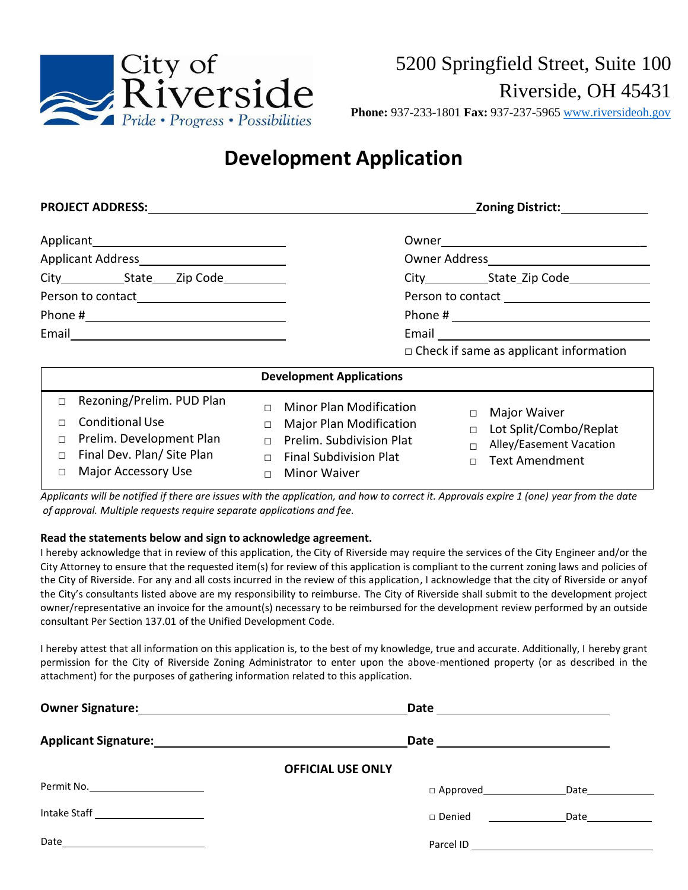

**Phone:** 937-233-1801 **Fax:** 937-237-5965 [www.riversideoh.gov](https://www.riversideoh.gov/)

# **Development Application**

| <b>PROJECT ADDRESS:</b>                                                                                                                                                                  | <b>Zoning District:</b>                                                                                                                                                                                                                                                                                                               |
|------------------------------------------------------------------------------------------------------------------------------------------------------------------------------------------|---------------------------------------------------------------------------------------------------------------------------------------------------------------------------------------------------------------------------------------------------------------------------------------------------------------------------------------|
| City State Zip Code                                                                                                                                                                      | Email <u>________________________________</u><br>$\Box$ Check if same as applicant information                                                                                                                                                                                                                                        |
|                                                                                                                                                                                          | <b>Development Applications</b>                                                                                                                                                                                                                                                                                                       |
| Rezoning/Prelim. PUD Plan<br>П<br><b>Conditional Use</b><br>$\Box$<br>Prelim. Development Plan<br>$\Box$<br>Final Dev. Plan/ Site Plan<br>$\Box$<br><b>Major Accessory Use</b><br>$\Box$ | <b>Minor Plan Modification</b><br>$\Box$<br>Major Waiver<br>$\Box$<br><b>Major Plan Modification</b><br>$\Box$<br>Lot Split/Combo/Replat<br>$\Box$<br>Prelim. Subdivision Plat<br>$\Box$<br>Alley/Easement Vacation<br>$\Box$<br><b>Final Subdivision Plat</b><br>$\Box$<br><b>Text Amendment</b><br>$\Box$<br>Minor Waiver<br>$\Box$ |

*Applicants will be notified if there are issues with the application, and how to correct it. Approvals expire 1 (one) year from the date of approval. Multiple requests require separate applications and fee.*

#### **Read the statements below and sign to acknowledge agreement.**

I hereby acknowledge that in review of this application, the City of Riverside may require the services of the City Engineer and/or the City Attorney to ensure that the requested item(s) for review of this application is compliant to the current zoning laws and policies of the City of Riverside. For any and all costs incurred in the review of this application, I acknowledge that the city of Riverside or anyof the City's consultants listed above are my responsibility to reimburse. The City of Riverside shall submit to the development project owner/representative an invoice for the amount(s) necessary to be reimbursed for the development review performed by an outside consultant Per Section 137.01 of the Unified Development Code.

I hereby attest that all information on this application is, to the best of my knowledge, true and accurate. Additionally, I hereby grant permission for the City of Riverside Zoning Administrator to enter upon the above-mentioned property (or as described in the attachment) for the purposes of gathering information related to this application.

|                                      | Date <u>_____________________</u> |              |
|--------------------------------------|-----------------------------------|--------------|
|                                      |                                   |              |
| <b>OFFICIAL USE ONLY</b>             |                                   |              |
| Permit No. _________________________ |                                   | Date________ |
| Intake Staff ______________________  | $\Box$ Denied                     | Date         |
| Date _________________________       |                                   |              |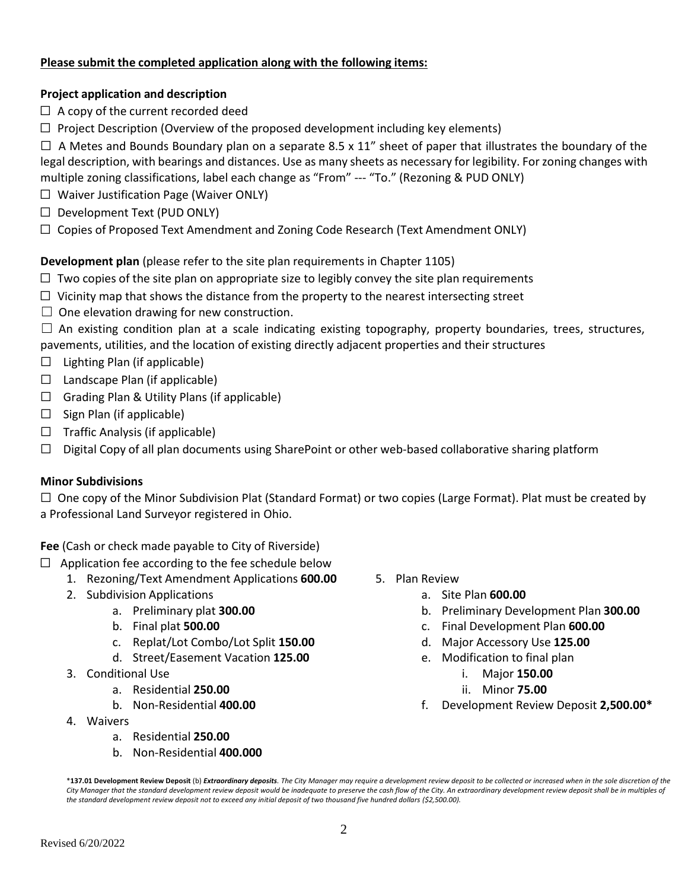### **Please submit the completed application along with the following items:**

#### **Project application and description**

- $\Box$  A copy of the current recorded deed
- $\Box$  Project Description (Overview of the proposed development including key elements)

 $\Box$  A Metes and Bounds Boundary plan on a separate 8.5 x 11" sheet of paper that illustrates the boundary of the legal description, with bearings and distances. Use as many sheets as necessary for legibility. Forzoning changes with multiple zoning classifications, label each change as "From" --- "To." (Rezoning & PUD ONLY)

- ☐ Waiver Justification Page (Waiver ONLY)
- $\Box$  Development Text (PUD ONLY)
- ☐ Copies of Proposed Text Amendment and Zoning Code Research (Text Amendment ONLY)

### **Development plan** (please refer to the site plan requirements in Chapter 1105)

- $\Box$  Two copies of the site plan on appropriate size to legibly convey the site plan requirements
- $\Box$  Vicinity map that shows the distance from the property to the nearest intersecting street
- $\Box$  One elevation drawing for new construction.

 $\Box$  An existing condition plan at a scale indicating existing topography, property boundaries, trees, structures, pavements, utilities, and the location of existing directly adjacent properties and their structures

- $\Box$  Lighting Plan (if applicable)
- $\Box$  Landscape Plan (if applicable)
- $\Box$  Grading Plan & Utility Plans (if applicable)
- $\Box$  Sign Plan (if applicable)
- $\Box$  Traffic Analysis (if applicable)
- $\Box$  Digital Copy of all plan documents using SharePoint or other web-based collaborative sharing platform

#### **Minor Subdivisions**

 $\Box$  One copy of the Minor Subdivision Plat (Standard Format) or two copies (Large Format). Plat must be created by a Professional Land Surveyor registered in Ohio.

**Fee** (Cash or check made payable to City of Riverside)

- $\Box$  Application fee according to the fee schedule below
	- 1. Rezoning/Text Amendment Applications **600.00**
	- 2. Subdivision Applications
		- a. Preliminary plat **300.00**
		- b. Final plat **500.00**
		- c. Replat/Lot Combo/Lot Split **150.00**
		- d. Street/Easement Vacation **125.00**
	- 3. Conditional Use
		- a. Residential **250.00**
		- b. Non-Residential **400.00**
	- 4. Waivers
		- a. Residential **250.00**
		- b. Non-Residential **400.000**
- 5. Plan Review
	- a. Site Plan **600.00**
	- b. Preliminary Development Plan **300.00**
	- c. Final Development Plan **600.00**
	- d. Major Accessory Use **125.00**
	- e. Modification to final plan
		- i. Major **150.00**
		- ii. Minor **75.00**
	- f. Development Review Deposit **2,500.00\***

\***137.01 Development Review Deposit** (b) *Extraordinary deposits. The City Manager may require a development review deposit to be collected or increased when in the sole discretion of the City Manager that the standard development review deposit would be inadequate to preserve the cash flow of the City. An extraordinary development review deposit shall be in multiples of the standard development review deposit not to exceed any initial deposit of two thousand five hundred dollars (\$2,500.00).*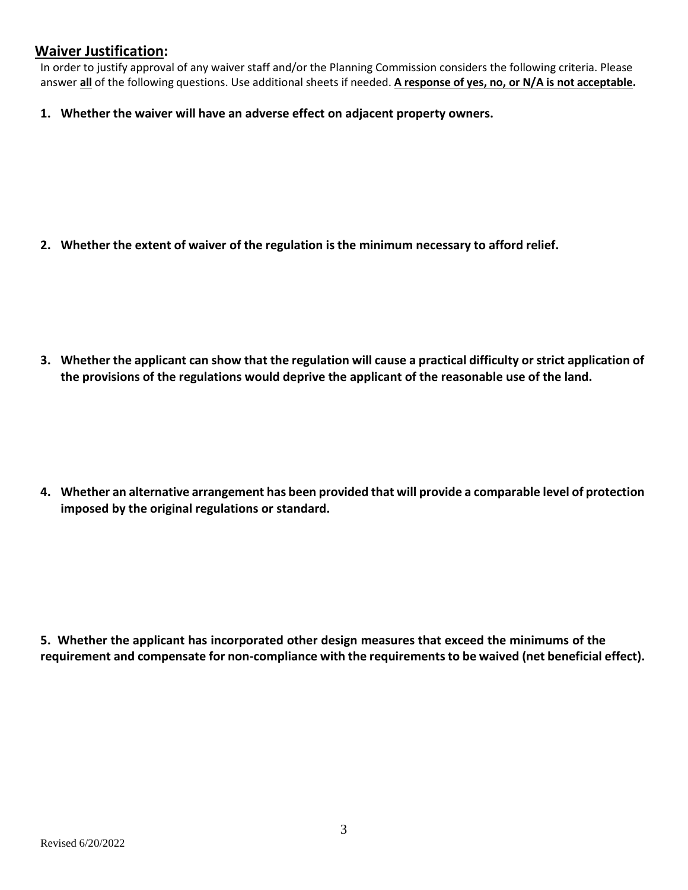## **Waiver Justification:**

In order to justify approval of any waiver staff and/or the Planning Commission considers the following criteria. Please answer **all** of the following questions. Use additional sheets if needed. **A response of yes, no, or N/A is not acceptable.**

**1. Whether the waiver will have an adverse effect on adjacent property owners.**

**2. Whether the extent of waiver of the regulation is the minimum necessary to afford relief.**

3. Whether the applicant can show that the regulation will cause a practical difficulty or strict application of **the provisions of the regulations would deprive the applicant of the reasonable use of the land.**

**4. Whether an alternative arrangement has been provided that will provide a comparable level of protection imposed by the original regulations or standard.**

**5. Whether the applicant has incorporated other design measures that exceed the minimums of the requirement and compensate for non-compliance with the requirementsto be waived (net beneficial effect).**